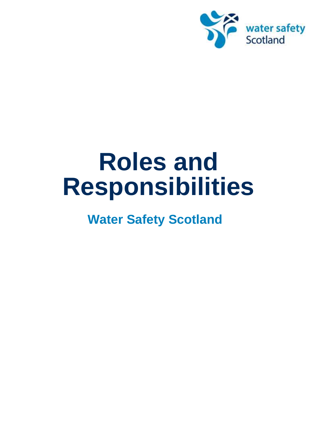

# **Roles and Responsibilities**

## **Water Safety Scotland**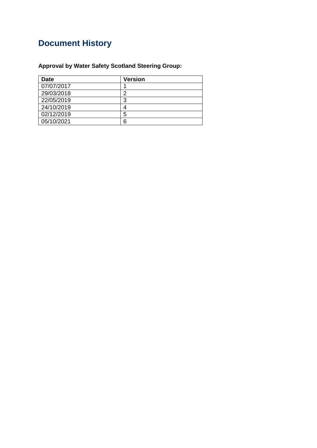## **Document History**

### **Approval by Water Safety Scotland Steering Group:**

| Date       | <b>Version</b> |
|------------|----------------|
| 07/07/2017 |                |
| 29/03/2018 | o              |
| 22/05/2019 | 3              |
| 24/10/2019 |                |
| 02/12/2019 | 5              |
| 05/10/2021 | Բ              |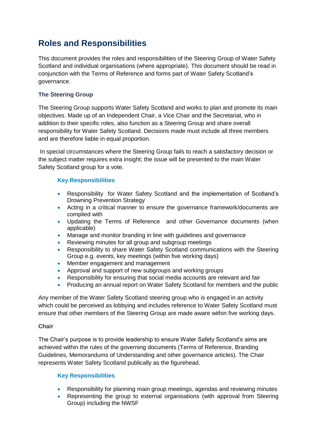## **Roles and Responsibilities**

This document provides the roles and responsibilities of the Steering Group of Water Safety Scotland and individual organisations (where appropriate). This document should be read in conjunction with the Terms of Reference and forms part of Water Safety Scotland's governance.

#### **The Steering Group**

The Steering Group supports Water Safety Scotland and works to plan and promote its main objectives. Made up of an Independent Chair, a Vice Chair and the Secretariat, who in addition to their specific roles, also function as a Steering Group and share overall responsibility for Water Safety Scotland. Decisions made must include all three members and are therefore liable in equal proportion.

In special circumstances where the Steering Group fails to reach a satisfactory decision or the subject matter requires extra insight; the issue will be presented to the main Water Safety Scotland group for a vote.

#### **Key Responsibilities**

- Responsibility for Water Safety Scotland and the implementation of Scotland's Drowning Prevention Strategy
- Acting in a critical manner to ensure the governance framework/documents are complied with
- Updating the Terms of Reference and other Governance documents (when applicable)
- Manage and monitor branding in line with guidelines and governance
- Reviewing minutes for all group and subgroup meetings
- Responsibility to share Water Safety Scotland communications with the Steering Group e.g. events, key meetings (within five working days)
- Member engagement and management
- Approval and support of new subgroups and working groups
- Responsibility for ensuring that social media accounts are relevant and fair
- Producing an annual report on Water Safety Scotland for members and the public

Any member of the Water Safety Scotland steering group who is engaged in an activity which could be perceived as lobbying and includes reference to Water Safety Scotland must ensure that other members of the Steering Group are made aware within five working days.

#### **Chair**

The Chair's purpose is to provide leadership to ensure Water Safety Scotland's aims are achieved within the rules of the governing documents (Terms of Reference, Branding Guidelines, Memorandums of Understanding and other governance articles). The Chair represents Water Safety Scotland publically as the figurehead.

#### **Key Responsibilities**

- Responsibility for planning main group meetings, agendas and reviewing minutes
- Representing the group to external organisations (with approval from Steering Group) including the NWSF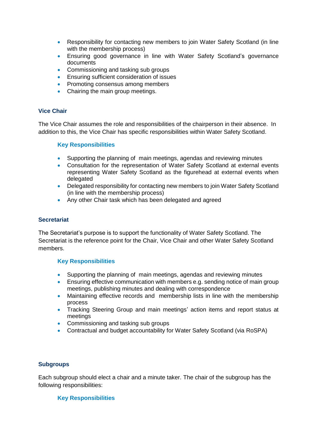- Responsibility for contacting new members to join Water Safety Scotland (in line with the membership process)
- Ensuring good governance in line with Water Safety Scotland's governance documents
- Commissioning and tasking sub groups
- **Ensuring sufficient consideration of issues**
- Promoting consensus among members
- Chairing the main group meetings.

#### **Vice Chair**

The Vice Chair assumes the role and responsibilities of the chairperson in their absence. In addition to this, the Vice Chair has specific responsibilities within Water Safety Scotland.

#### **Key Responsibilities**

- Supporting the planning of main meetings, agendas and reviewing minutes
- Consultation for the representation of Water Safety Scotland at external events representing Water Safety Scotland as the figurehead at external events when delegated
- Delegated responsibility for contacting new members to join Water Safety Scotland (in line with the membership process)
- Any other Chair task which has been delegated and agreed

#### **Secretariat**

The Secretariat's purpose is to support the functionality of Water Safety Scotland. The Secretariat is the reference point for the Chair, Vice Chair and other Water Safety Scotland members.

#### **Key Responsibilities**

- Supporting the planning of main meetings, agendas and reviewing minutes
- Ensuring effective communication with members e.g. sending notice of main group meetings, publishing minutes and dealing with correspondence
- Maintaining effective records and membership lists in line with the membership process
- Tracking Steering Group and main meetings' action items and report status at meetings
- Commissioning and tasking sub groups
- Contractual and budget accountability for Water Safety Scotland (via RoSPA)

#### **Subgroups**

Each subgroup should elect a chair and a minute taker. The chair of the subgroup has the following responsibilities:

#### **Key Responsibilities**